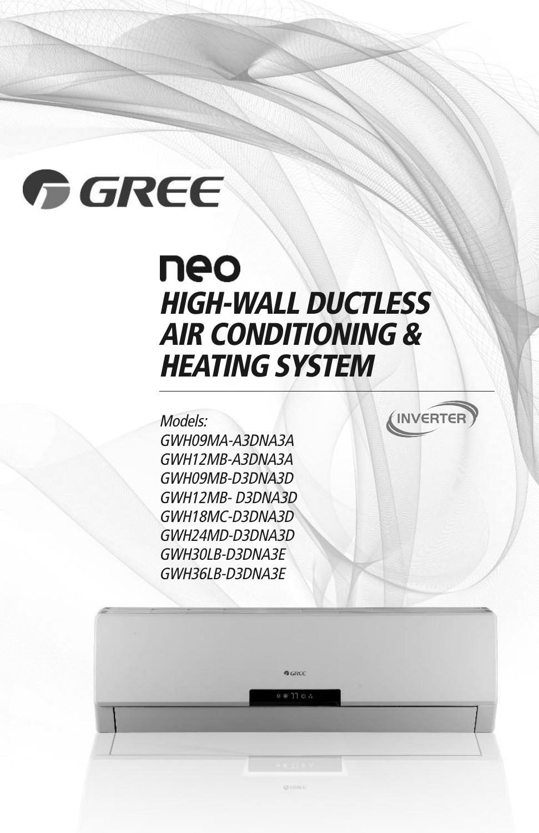# GREE

## neo **HIGH-WALL DUCTLESS AIR CONDITIONING & HEATING SYSTEM**

BURLE  $0.4270.5$  INVERTER

## Models:

GWH09MA-A3DNA3A GWH12MB-A3DNA3A GWH09MB-D3DNA3D GWH12MB- D3DNA3D GWH18MC-D3DNA3D GWH24MD-D3DNA3D GWH30LB-D3DNA3E GWH36LB-D3DNA3E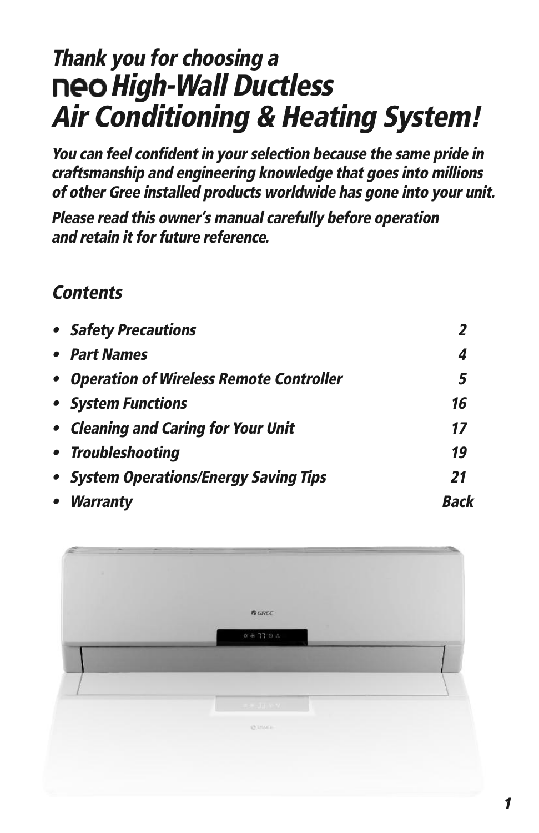## **Thank you for choosing <sup>a</sup> High-Wall Ductless Air Conditioning & Heating System!**

**You can feel confident in your selection because the same pride in craftsmanship and engineering knowledge that goes into millions of other Gree installed products worldwide has gone into your unit.**

**Please read this owner's manual carefully before operation and retain it for future reference.**

## **Contents**

| • Safety Precautions                      |    |
|-------------------------------------------|----|
| • Part Names                              | 4  |
| • Operation of Wireless Remote Controller | 5  |
| • System Functions                        | 16 |
| • Cleaning and Caring for Your Unit       | 17 |
| • Troubleshooting                         | 19 |
| • System Operations/Energy Saving Tips    | 21 |
| • Warranty                                |    |

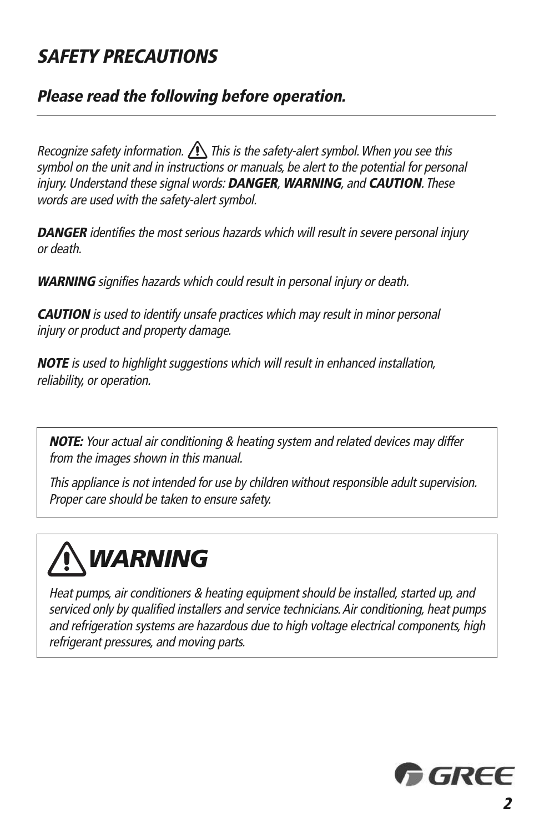## **SAFETY PRECAUTIONS**

## **Please read the following before operation.**

Recognize safety information.  $\bigcap$  This is the safety-alert symbol. When you see this symbol on the unit and in instructions or manuals, be alert to the potential for personal injury. Understand these signal words: **DANGER**, **WARNING**, and **CAUTION**. These words are used with the safety-alert symbol.

**DANGER** identifies the most serious hazards which will result in severe personal injury or death.

**WARNING** signifies hazards which could result in personal injury or death.

**CAUTION** is used to identify unsafe practices which may result in minor personal injury or product and property damage.

**NOTE** is used to highlight suggestions which will result in enhanced installation, reliability, or operation.

**NOTE:** Your actual air conditioning & heating system and related devices may differ from the images shown in this manual.

This appliance is not intended for use by children without responsible adult supervision. Proper care should be taken to ensure safety.



Heat pumps, air conditioners & heating equipment should be installed, started up, and serviced only by qualified installers and service technicians. Air conditioning, heat pumps and refrigeration systems are hazardous due to high voltage electrical components, high refrigerant pressures, and moving parts.

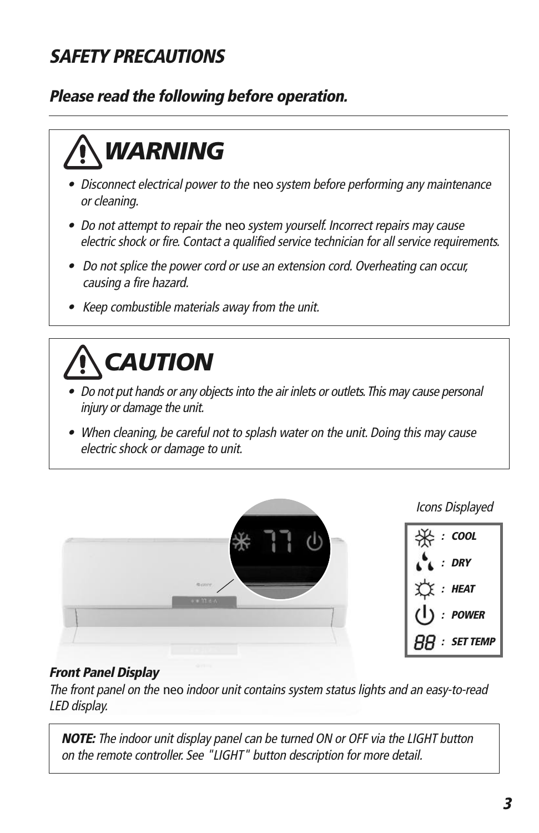## **SAFETY PRECAUTIONS**

## **Please read the following before operation.**



- **•** Disconnect electrical power to the neo system before performing any maintenance or cleaning.
- Do not attempt to repair the neo system yourself. Incorrect repairs may cause electric shock or fire. Contact <sup>a</sup> qualified service technician for all service requirements.
- Do not splice the power cord or use an extension cord. Overheating can occur, causing <sup>a</sup> fire hazard.
- Keep combustible materials away from the unit.

# *CAUTION*

- **•** Do not put hands or any objectsinto the air inlets or outlets.This may cause personal injury or damage the unit.
- **•** When cleaning, be careful not to splash water on the unit. Doing this may cause electric shock or damage to unit.



#### **Front Panel Display**

The front panel on the neo indoor unit contains system status lights and an easy-to-read LED display.

**NOTE:** The indoor unit display panel can be turned ON or OFF via the LIGHT button on the remote controller. See "LIGHT" button description for more detail.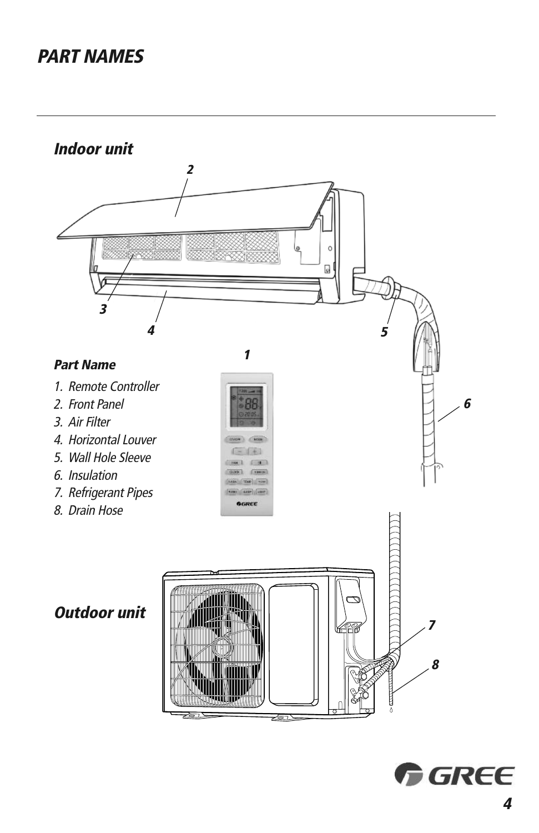## **PART NAMES**

**Indoor unit**



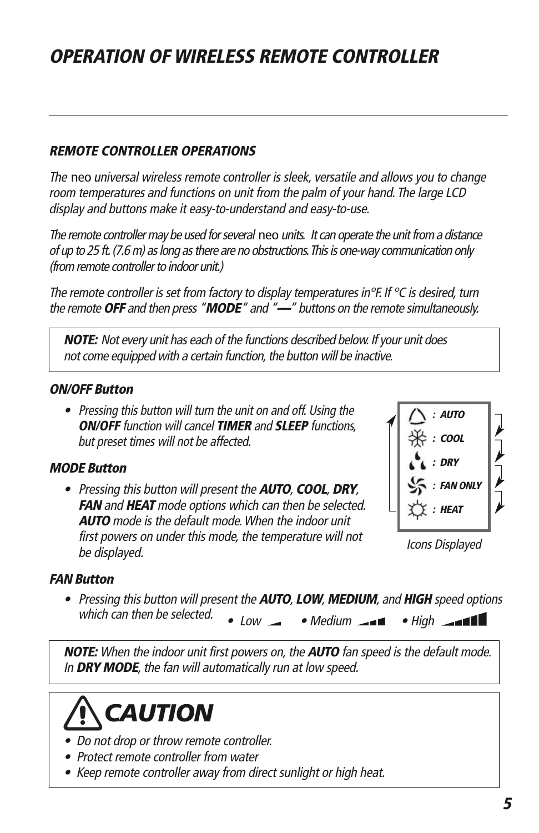#### **REMOTE CONTROLLER OPERATIONS**

The neo universal wireless remote controller is sleek, versatile and allows you to change room temperatures and functions on unit from the palm of your hand. The large LCD display and buttons make it easy-to-understand and easy-to-use.

The remote controller may be used for several neo units. It can operate the unit from a distance of up to 25 ft. (7.6 m) as long as there are no obstructions. This is one-way communication only (from remote controller to indoor unit.)

The remote controller is set from factory to display temperatures in°F. If  $\degree$ C is desired, turn the remote**OFF** and then press "**MODE**" and "**––**" buttons on the remote simultaneously.

**NOTE:** Not every unit has each of the functions described below. If your unit does not come equipped with a certain function, the button will be inactive.

#### **ON/OFF Button**

• Pressing this button will turn the unit on and off. Using the **ON/OFF** function will cancel **TIMER** and **SLEEP** functions, but preset times will not be affected.

#### **MODE Button**

• Pressing this button will present the **AUTO**, **COOL**, **DRY**, **FAN** and **HEAT** mode options which can then be selected. **AUTO** mode is the default mode.When the indoor unit first powers on under this mode, the temperature will not be displayed.



Icons Displayed

#### **FAN Button**

• Low • Medium • High • Pressing this button will present the **AUTO**, **LOW**, **MEDIUM**, and **HIGH** speed options which can then be selected.

**NOTE:** When the indoor unit first powers on, the **AUTO** fan speed is the default mode. **WARNING** 

In **DRY MODE**, the fan will automatically run at low speed.<br>



- Do not drop or throw remote controller.
- Protect remote controller from water
- Keep remote controller away from direct sunlight or high heat.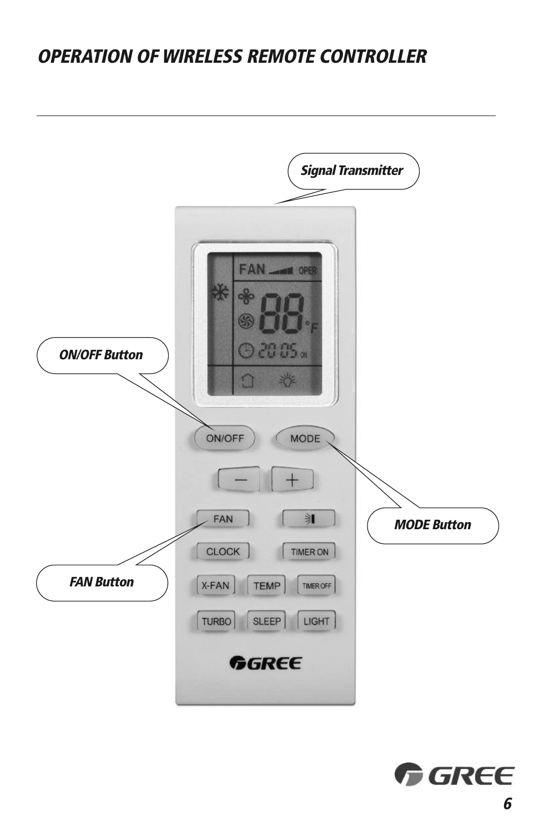

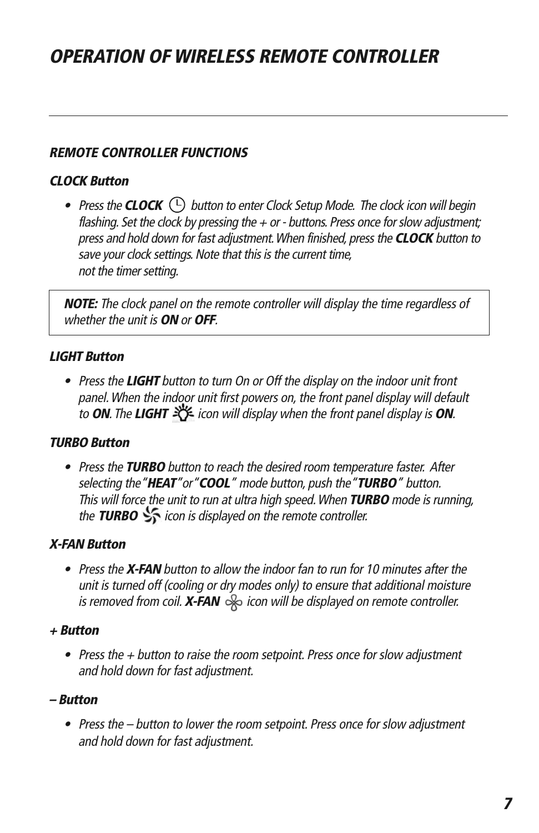#### **REMOTE CONTROLLER FUNCTIONS**

#### **CLOCK Button**

• Press the **CLOCK**  $\cup$  button to enter Clock Setup Mode. The clock icon will begin flashing. Set the clock by pressing the  $+$  or - buttons. Press once for slow adjustment; press and hold down for fast adjustment.When finished, pressthe **CLOCK** button to save your clock settings. Note that this is the current time, not the timer setting.

**NOTE:** The clock panel on the remote controller will display the time regardless of whether the unit is **ON** or **OFF**.

#### **LIGHT Button**

• Press the **LIGHT** button to turn On or Off the display on the indoor unit front panel.When the indoor unit first powers on, the front panel display will default to **ON**. The LIGHT  $\frac{1}{2}$  icon will display when the front panel display is **ON**.

#### **TURBO Button**

• Press the **TURBO** button to reach the desired room temperature faster. After selecting the"**HEAT**"or"**COOL**" mode button, push the"**TURBO**" button. This will force the unit to run at ultra high speed.When **TURBO** mode is running, the **TURBO**  $\frac{1}{2}$  icon is displayed on the remote controller.

#### **X-FAN Button**

• Press the **X-FAN** button to allow the indoor fan to run for 10 minutes after the unit is turned off (cooling or dry modes only) to ensure that additional moisture is removed from coil. **X-FAN**  $\gg$  icon will be displayed on remote controller.

#### **+ Button**

• Press the + button to raise the room setpoint. Press once for slow adjustment and hold down for fast adjustment.

#### **– Button**

• Press the – button to lower the room setpoint. Press once for slow adjustment and hold down for fast adjustment.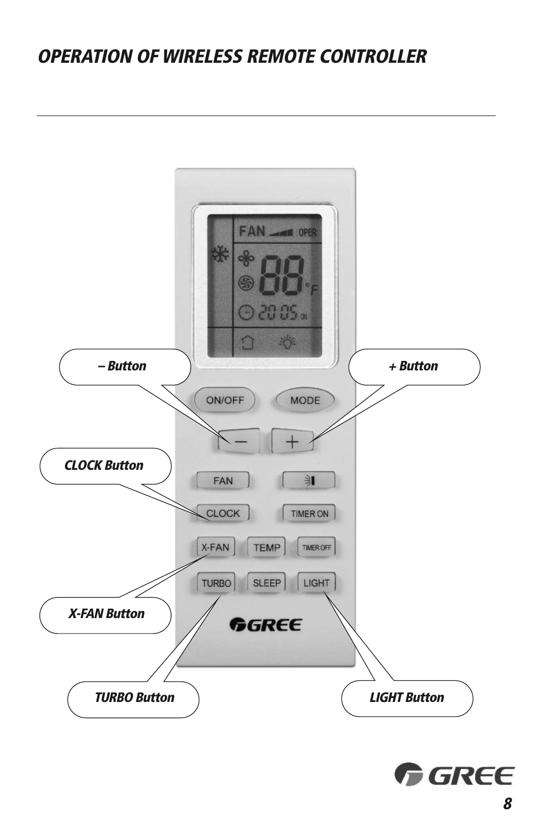

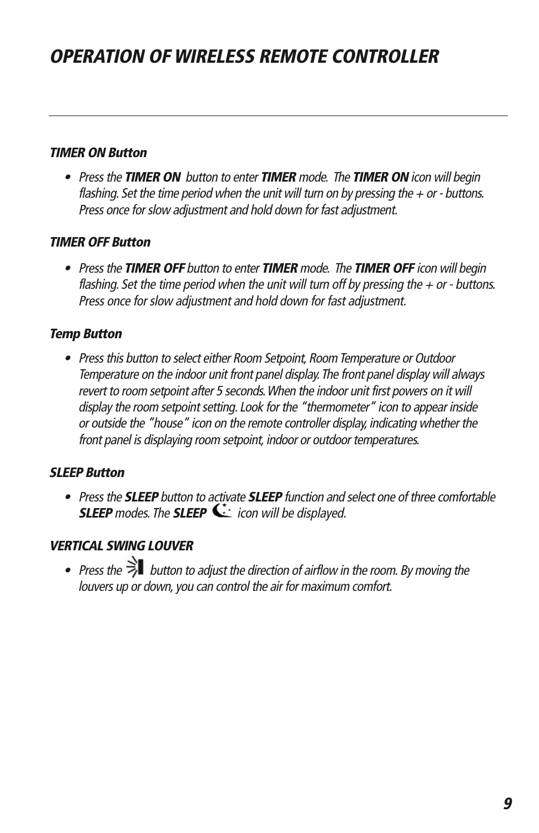#### **TIMER ON Button**

• Pressthe **TIMER ON** button to enter **TIMER** mode. The **TIMER ON** icon will begin flashing. Set the time period when the unit will turn on by pressing the  $+$  or - buttons. Press once for slow adjustment and hold down for fast adjustment.

#### **TIMER OFF Button**

• Pressthe **TIMER OFF** button to enter **TIMER** mode. The **TIMER OFF** icon will begin flashing. Set the time period when the unit will turn off by pressing the  $+$  or - buttons. Press once for slow adjustment and hold down for fast adjustment.

#### **Temp Button**

• Press this button to select either Room Setpoint, Room Temperature or Outdoor Temperature on the indoor unit front panel display.The front panel display will always revert to room setpoint after 5 seconds.When the indoor unit first powers on it will display the room setpoint setting. Look for the "thermometer" icon to appear inside or outside the "house" icon on the remote controller display, indicating whether the front panel is displaying room setpoint, indoor or outdoor temperatures.

#### **SLEEP Button**

• Pressthe **SLEEP** button to activate **SLEEP** function and select one of three comfortable **SLEEP** modes. The **SLEEP**  $\mathbf{\dot{\le}}$  icon will be displayed.

#### **VERTICAL SWING LOUVER**

• Press the  $\overline{z}$  button to adjust the direction of airflow in the room. By moving the louvers up or down, you can control the air for maximum comfort.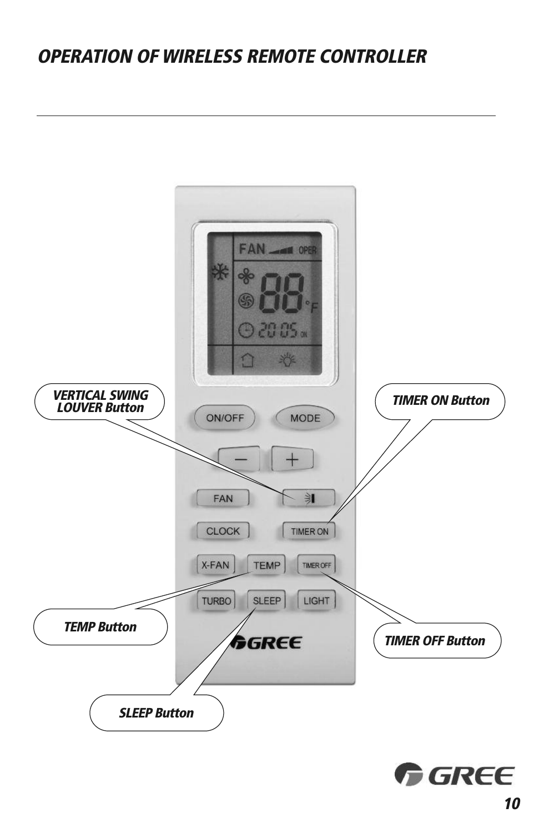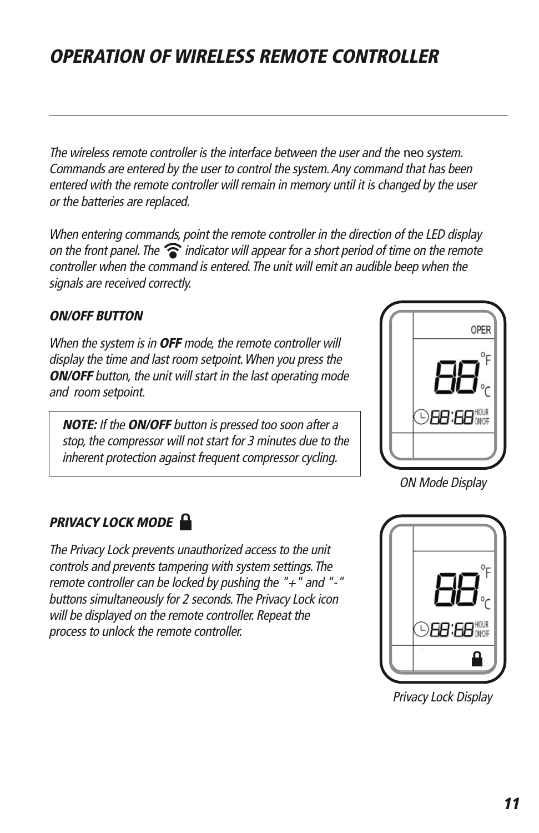The wireless remote controller is the interface between the user and the neo system. Commands are entered by the user to control the system.Any command that has been entered with the remote controller will remain in memory until it is changed by the user or the batteries are replaced.

When entering commands, point the remote controller in the direction of the LED display on the front panel. The  $\widehat{\mathcal{F}}$  indicator will appear for a short period of time on the remote controller when the command is entered.The unit will emit an audible beep when the signals are received correctly.

#### **ON/OFF BUTTON**

When the system is in **OFF** mode, the remote controller will display the time and last room setpoint.When you press the **ON/OFF** button, the unit will start in the last operating mode and room setpoint.

**NOTE:** If the **ON/OFF** button is pressed too soon after <sup>a</sup> stop, the compressor will not start for 3 minutes due to the inherent protection against frequent compressor cycling.



ON Mode Display

#### **U PRIVACY LOCK MODE**

The Privacy Lock prevents unauthorized access to the unit controls and prevents tampering with system settings.The remote controller can be locked by pushing the " $+$ " and "-" buttons simultaneously for 2 seconds.The Privacy Lock icon will be displayed on the remote controller. Repeat the process to unlock the remote controller.



Privacy Lock Display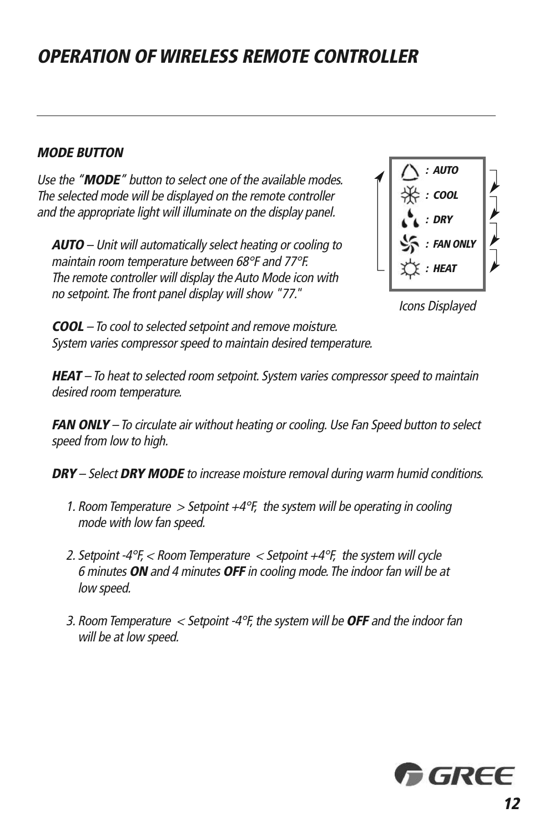#### **MODE BUTTON**

Use the "**MODE**" button to select one of the available modes. The selected mode will be displayed on the remote controller and the appropriate light will illuminate on the display panel.

**AUTO** – Unit will automatically select heating or cooling to maintain room temperature between 68°F and 77°F. The remote controller will display the Auto Mode icon with no setpoint.The front panel display will show "77."



Icons Displayed

**COOL** – To cool to selected setpoint and remove moisture. System varies compressor speed to maintain desired temperature.

**HEAT** – To heat to selected room setpoint. System varies compressor speed to maintain desired room temperature.

**FAN ONLY** – To circulate air without heating or cooling. Use Fan Speed button to select speed from low to high.

**DRY** – Select **DRY MODE** to increase moisture removal during warm humid conditions.

- 1. Room Temperature > Setpoint  $+4^{\circ}$ F, the system will be operating in cooling mode with low fan speed.
- 2. Setpoint -4°F,  $<$  Room Temperature  $<$  Setpoint +4°F, the system will cycle 6 minutes **ON** and 4 minutes **OFF** in cooling mode.The indoor fan will be at low speed.
- 3. Room Temperature <sup>&</sup>lt; Setpoint -4°F, the system will be **OFF** and the indoor fan will be at low speed.

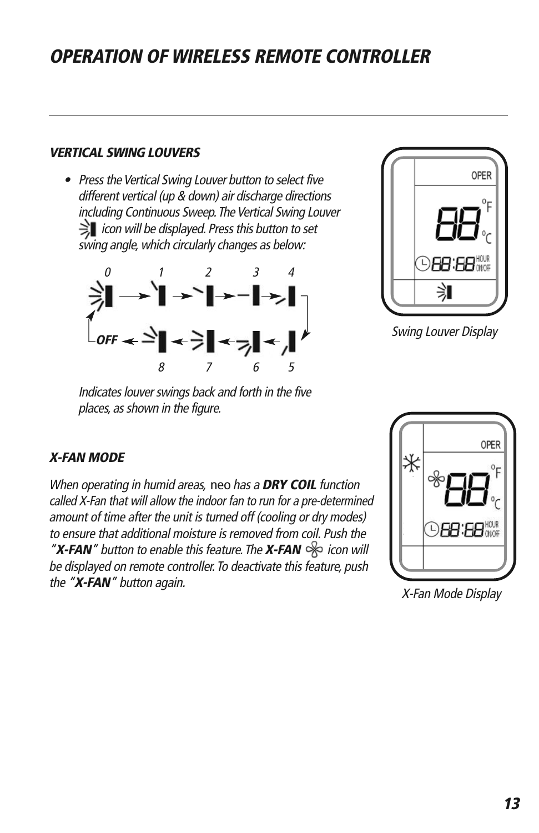#### **VERTICAL SWING LOUVERS**

• Press the Vertical Swing Louver button to select five different vertical (up & down) air discharge directions including Continuous Sweep. The Vertical Swing Louver  $\gtrsim$  icon will be displayed. Press this button to set swing angle, which circularly changes as below:





Swing Louver Display

Indicates louver swings back and forth in the five places, as shown in the figure.

#### **X-FAN MODE**

When operating in humid areas, neo has <sup>a</sup> **DRY COIL** function called X-Fan that will allow the indoor fan to run for <sup>a</sup> pre-determined amount of time after the unit is turned off (cooling or dry modes) to ensure that additional moisture is removed from coil. Push the "X-FAN" button to enable this feature. The X-FAN  $\gg$  icon will be displayed on remote controller. To deactivate this feature, push the "**X-FAN**" button again.



X-Fan Mode Display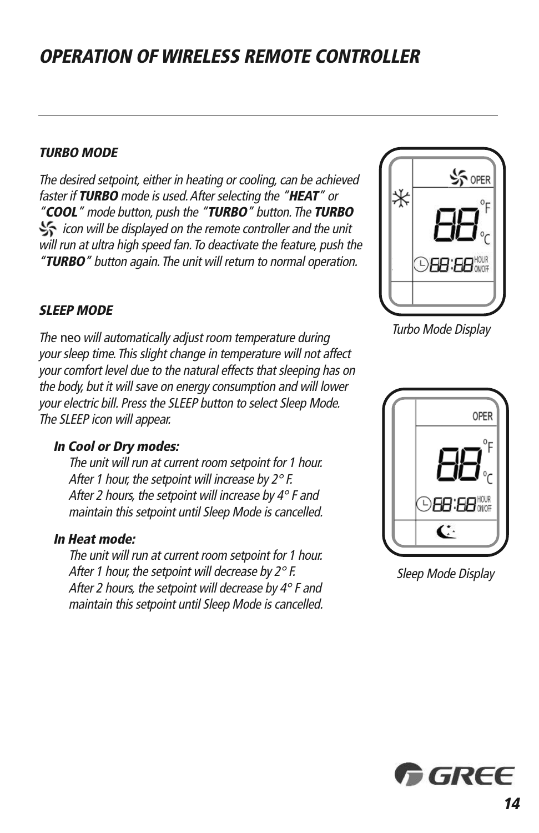#### **TURBO MODE**

The desired setpoint, either in heating or cooling, can be achieved faster if **TURBO** mode is used.After selecting the "**HEAT**" or "**COOL**" mode button, push the "**TURBO**" button.The **TURBO** icon will be displayed on the remote controller and the unit will run at ultra high speed fan. To deactivate the feature, push the "**TURBO**" button again.The unit will return to normal operation.

#### **SLEEP MODE**

The neo will automatically adjust room temperature during your sleep time.This slight change in temperature will not affect your comfort level due to the natural effects that sleeping has on the body, but it will save on energy consumption and will lower your electric bill. Press the SLEEP button to select Sleep Mode. The SLEEP icon will appear.

#### **In Cool or Dry modes:**

The unit will run at current room setpoint for 1 hour. After 1 hour, the setpoint will increase by  $2^{\circ}$  F. After 2 hours, the setpoint will increase by  $4^\circ$  F and maintain this setpoint until Sleep Mode is cancelled.

#### **In Heat mode:**

The unit will run at current room setpoint for 1 hour. After 1 hour, the setpoint will decrease by  $2^\circ$  F. After 2 hours, the setpoint will decrease by  $4^\circ$  F and maintain this setpoint until Sleep Mode is cancelled.



Turbo Mode Display



Sleep Mode Display

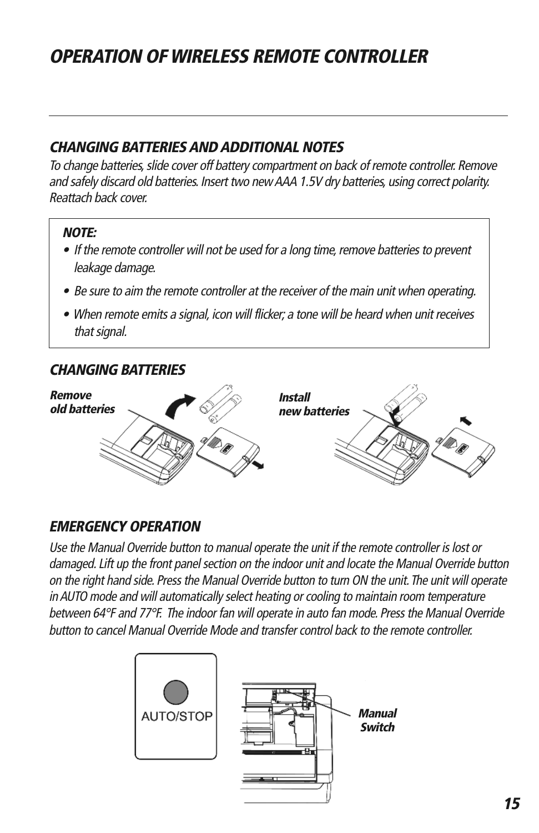### **CHANGING BATTERIESANDADDITIONAL NOTES**

To change batteries, slide cover off battery compartment on back of remote controller. Remove and safely discard old batteries. Insert two newAAA 1.5V dry batteries, using correct polarity. Reattach back cover.

#### **NOTE:**

- $\bullet$  If the remote controller will not be used for a long time, remove batteries to prevent leakage damage.
- Be sure to aim the remote controller at the receiver of the main unit when operating.
- When remote emits <sup>a</sup> signal, icon will flicker; <sup>a</sup> tone will be heard when unit receives that signal.

#### **CHANGING BATTERIES**



### **EMERGENCY OPERATION**

Use the Manual Override button to manual operate the unit if the remote controller is lost or damaged. Lift up the front panel section on the indoor unit and locate the Manual Override button on the right hand side. Press the Manual Override button to turn ON the unit.The unit will operate in AUTO mode and will automatically select heating or cooling to maintain room temperature between 64°F and 77°F. The indoor fan will operate in auto fan mode. Press the Manual Override button to cancel Manual Override Mode and transfercontrol back to the remote controller.

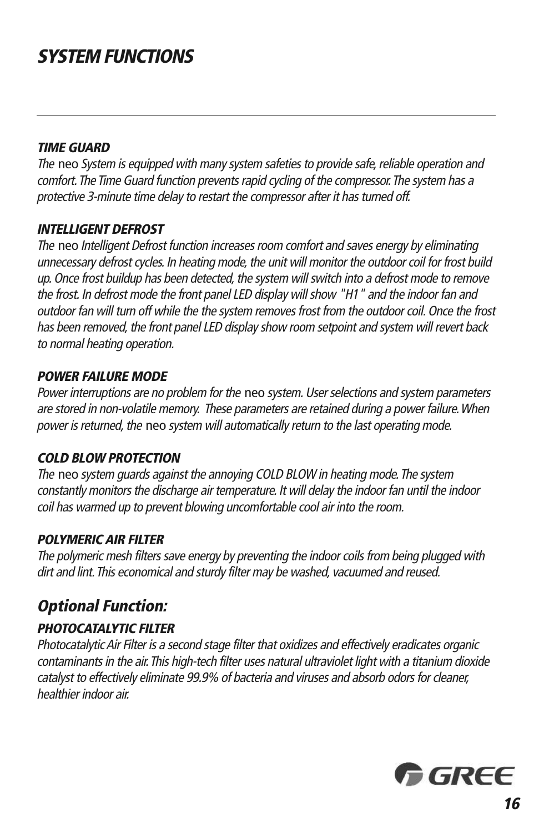## **SYSTEM FUNCTIONS**

#### **TIME GUARD**

The neo System is equipped with many system safeties to provide safe, reliable operation and comfort. The Time Guard function prevents rapid cycling of the compressor. The system has a protective 3-minute time delay to restart the compressor after it has turned off.

#### **INTELLIGENT DEFROST**

The neo Intelligent Defrost function increases room comfort and saves energy by eliminating unnecessary defrost cycles. In heating mode, the unit will monitor the outdoor coil for frost build up. Once frost buildup has been detected, the system will switch into a defrost mode to remove the frost. In defrost mode the front panel LED display will show "H1" and the indoor fan and outdoor fan will turn off while the the system removes frost from the outdoor coil. Once the frost has been removed, the front panel LED display show room setpoint and system will revert back to normal heating operation.

#### **POWER FAILURE MODE**

Power interruptions are no problem for the neo system. User selections and system parameters are stored in non-volatile memory. These parameters are retained during <sup>a</sup> power failure.When power is returned, the neo system will automatically return to the last operating mode.

#### **COLD BLOW PROTECTION**

The neo system guards against the annoying COLD BLOW in heating mode. The system constantly monitors the discharge air temperature. It will delay the indoor fan until the indoor coil has warmed up to prevent blowing uncomfortable cool air into the room.

#### **POLYMERICAIR FILTER**

The polymeric mesh filters save energy by preventing the indoor coils from being plugged with dirt and lint.This economical and sturdy filter may be washed, vacuumed and reused.

### **Optional Function:**

#### **PHOTOCATALYTIC FILTER**

PhotocatalyticAir Filter is <sup>a</sup> second stage filter that oxidizes and effectively eradicates organic contaminants in the air. This high-tech filter uses natural ultraviolet light with a titanium dioxide catalyst to effectively eliminate 99.9% of bacteria and viruses and absorb odors for cleaner, healthier indoor air.

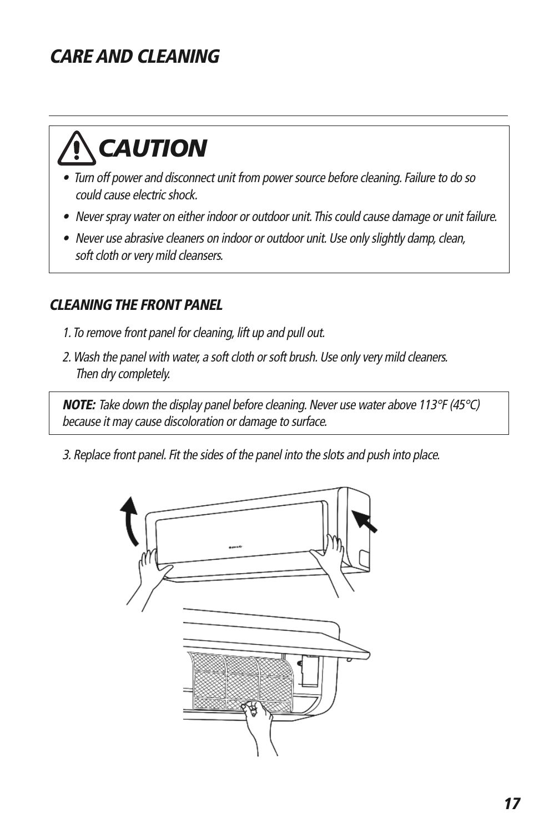# **WARNING CARE AND CLEANING**

# **CAUTION**

**CAUTION** 

- Turn off power and disconnect unit from power source before cleaning. Failure to do so could cause electric shock.
- Never spray water on either indoor or outdoor unit. This could cause damage or unit failure.
- Never use abrasive cleaners on indoor or outdoor unit. Use only slightly damp, clean, soft cloth or very mild cleansers.

### **CLEANING THE FRONT PANEL**

- 1. To remove front panel for cleaning, lift up and pull out.
- 2. Wash the panel with water, a soft cloth or soft brush. Use only very mild cleaners. Then dry completely.

**NOTE:** Take down the display panel before cleaning. Never use water above 113°F (45°C) because it may cause discoloration or damage to surface.

3. Replace front panel. Fit the sides of the panel into the slots and push into place.

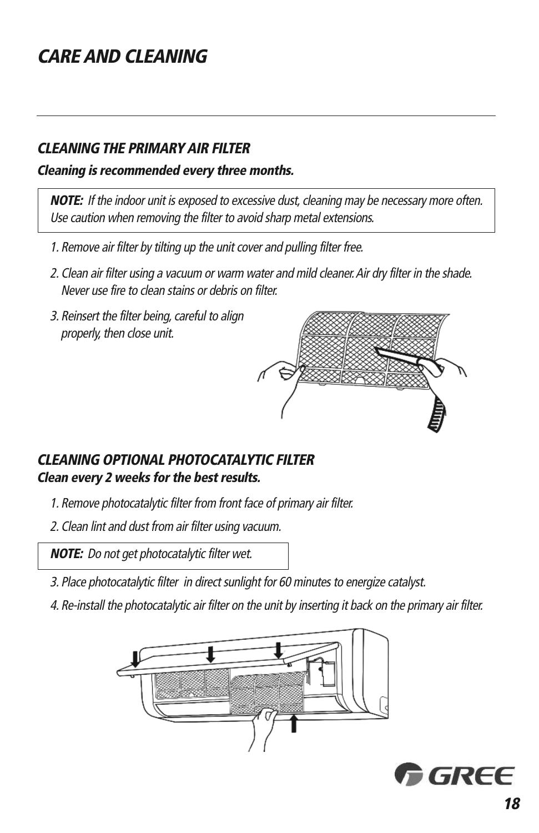## **CARE AND CLEANING**

### **CLEANING THE PRIMARY AIR FILTER**

#### **Cleaning is recommended every three months.**

**NOTE:** If the indoor unit is exposed to excessive dust, cleaning may be necessary more often. Use caution when removing the filter to avoid sharp metal extensions.

- 1. Remove air filter by tilting up the unit cover and pulling filter free.
- 2. Clean air filter using <sup>a</sup> vacuum or warm water and mild cleaner.Air dry filter in the shade. Never use fire to clean stains or debris on filter.
- 3. Reinsert the filter being, careful to align properly, then close unit.



### **CLEANING OPTIONAL PHOTOCATALYTIC FILTER Clean every 2 weeks for the best results.**

- 1. Remove photocatalytic filter from front face of primary air filter.
- 2. Clean lint and dust from air filter using vacuum.

**NOTE:** Do not get photocatalytic filter wet.

- 3. Place photocatalytic filter in direct sunlight for 60 minutes to energize catalyst.
- 4. Re-install the photocatalytic air filter on the unit by inserting it back on the primary air filter.



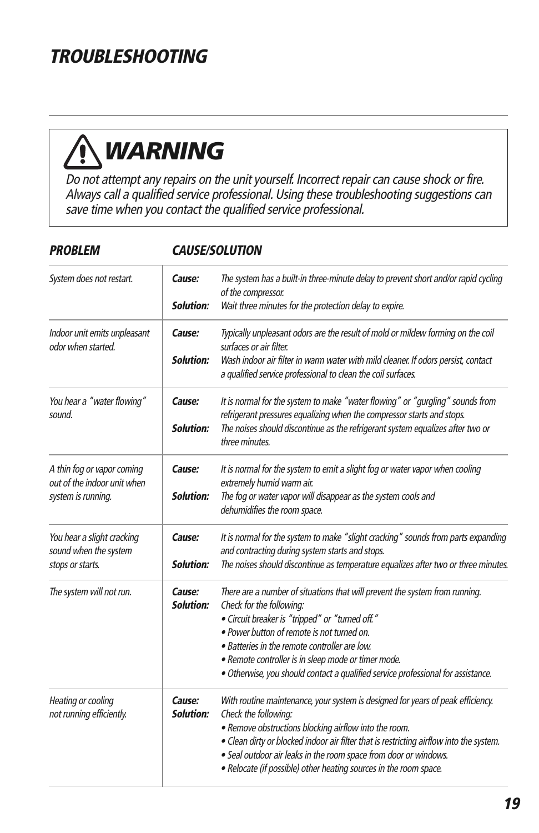# **WARNING TROUBLESHOOTING**

# **WARNING**

**CAUTION** 

Do not attempt any repairs on the unit yourself. Incorrect repair can cause shock or fire. Always call a qualified service professional. Using these troubleshooting suggestions can save time when you contact the qualified service professional.

| System does not restart.                                                        | Cause:<br><b>Solution:</b> | The system has a built-in three-minute delay to prevent short and/or rapid cycling<br>of the compressor.<br>Wait three minutes for the protection delay to expire.                                                                                                                                                                                                                                   |  |
|---------------------------------------------------------------------------------|----------------------------|------------------------------------------------------------------------------------------------------------------------------------------------------------------------------------------------------------------------------------------------------------------------------------------------------------------------------------------------------------------------------------------------------|--|
| Indoor unit emits unpleasant<br>odor when started.                              | Cause:<br><b>Solution:</b> | Typically unpleasant odors are the result of mold or mildew forming on the coil<br>surfaces or air filter.<br>Wash indoor air filter in warm water with mild cleaner. If odors persist, contact<br>a qualified service professional to clean the coil surfaces.                                                                                                                                      |  |
| You hear a "water flowing"<br>sound.                                            | Cause:<br><b>Solution:</b> | It is normal for the system to make "water flowing" or "gurgling" sounds from<br>refrigerant pressures equalizing when the compressor starts and stops.<br>The noises should discontinue as the refrigerant system equalizes after two or<br>three minutes.                                                                                                                                          |  |
| A thin fog or vapor coming<br>out of the indoor unit when<br>system is running. | Cause:<br><b>Solution:</b> | It is normal for the system to emit a slight fog or water vapor when cooling<br>extremely humid warm air.<br>The fog or water vapor will disappear as the system cools and<br>dehumidifies the room space.                                                                                                                                                                                           |  |
| You hear a slight cracking<br>sound when the system<br>stops or starts.         | Cause:<br><b>Solution:</b> | It is normal for the system to make "slight cracking" sounds from parts expanding<br>and contracting during system starts and stops.<br>The noises should discontinue as temperature equalizes after two or three minutes.                                                                                                                                                                           |  |
| The system will not run.                                                        | Cause:<br><b>Solution:</b> | There are a number of situations that will prevent the system from running.<br>Check for the following:<br>· Circuit breaker is "tripped" or "turned off."<br>• Power button of remote is not turned on.<br>• Batteries in the remote controller are low.<br>· Remote controller is in sleep mode or timer mode.<br>· Otherwise, you should contact a qualified service professional for assistance. |  |
| Heating or cooling<br>not running efficiently.                                  | Cause:<br><b>Solution:</b> | With routine maintenance, your system is designed for years of peak efficiency.<br>Check the following:<br>. Remove obstructions blocking airflow into the room.<br>. Clean dirty or blocked indoor air filter that is restricting airflow into the system.<br>· Seal outdoor air leaks in the room space from door or windows.<br>• Relocate (if possible) other heating sources in the room space. |  |

#### **PROBLEM**

#### **CAUSE/SOLUTION**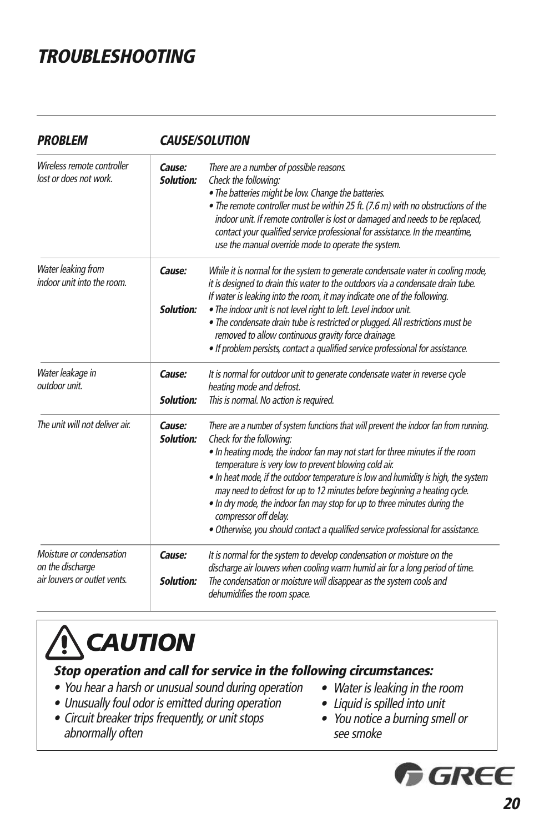## **TROUBLESHOOTING**

| <b>CAUSE/SOLUTION</b>      |                                                                                                                                                                                                                                                                                                                                                                                                                                                                                                                                                                                                                          |  |
|----------------------------|--------------------------------------------------------------------------------------------------------------------------------------------------------------------------------------------------------------------------------------------------------------------------------------------------------------------------------------------------------------------------------------------------------------------------------------------------------------------------------------------------------------------------------------------------------------------------------------------------------------------------|--|
| Cause:<br>Solution:        | There are a number of possible reasons.<br>Check the following:<br>. The batteries might be low. Change the batteries.<br>• The remote controller must be within 25 ft. (7.6 m) with no obstructions of the<br>indoor unit. If remote controller is lost or damaged and needs to be replaced,<br>contact your qualified service professional for assistance. In the meantime,<br>use the manual override mode to operate the system.                                                                                                                                                                                     |  |
| Cause:<br><b>Solution:</b> | While it is normal for the system to generate condensate water in cooling mode,<br>it is designed to drain this water to the outdoors via a condensate drain tube.<br>If water is leaking into the room, it may indicate one of the following.<br>. The indoor unit is not level right to left. Level indoor unit.<br>. The condensate drain tube is restricted or plugged. All restrictions must be<br>removed to allow continuous gravity force drainage.<br>. If problem persists, contact a qualified service professional for assistance.                                                                           |  |
| Cause:<br>Solution:        | It is normal for outdoor unit to generate condensate water in reverse cycle<br>heating mode and defrost.<br>This is normal. No action is required.                                                                                                                                                                                                                                                                                                                                                                                                                                                                       |  |
| Cause:<br><b>Solution:</b> | There are a number of system functions that will prevent the indoor fan from running.<br>Check for the following:<br>. In heating mode, the indoor fan may not start for three minutes if the room<br>temperature is very low to prevent blowing cold air.<br>. In heat mode, if the outdoor temperature is low and humidity is high, the system<br>may need to defrost for up to 12 minutes before beginning a heating cycle.<br>. In dry mode, the indoor fan may stop for up to three minutes during the<br>compressor off delay.<br>· Otherwise, you should contact a qualified service professional for assistance. |  |
| Cause:<br><b>Solution:</b> | It is normal for the system to develop condensation or moisture on the<br>discharge air louvers when cooling warm humid air for a long period of time.<br>The condensation or moisture will disappear as the system cools and<br>dehumidifies the room space.                                                                                                                                                                                                                                                                                                                                                            |  |
|                            |                                                                                                                                                                                                                                                                                                                                                                                                                                                                                                                                                                                                                          |  |

# **CAUTION**

#### **Stop operation and call for service in the following circumstances:**

- You hear <sup>a</sup> harsh or unusual sound during operation
- Unusually foul odor is emitted during operation
- Circuit breaker trips frequently, or unit stops abnormally often
- Water is leaking in the room
- Liquid is spilled into unit
- You notice <sup>a</sup> burning smell or see smoke

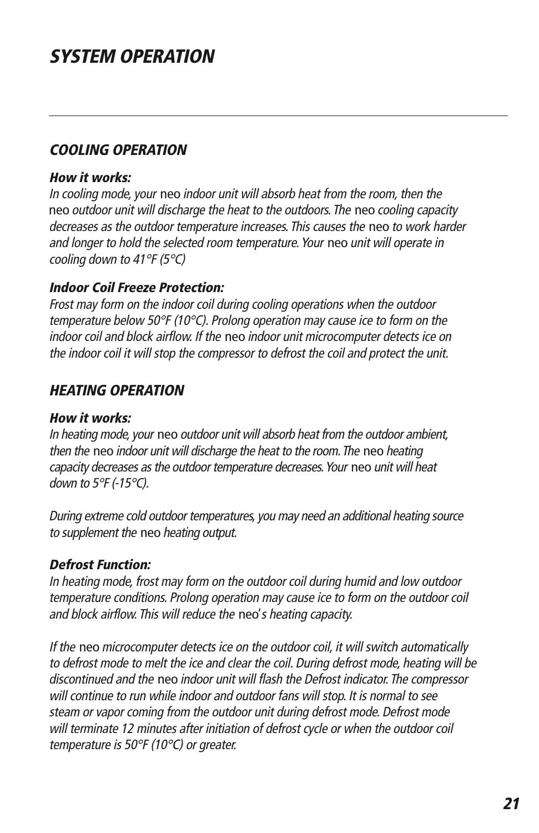## **SYSTEM OPERATION**

#### **COOLING OPERATION**

#### **How it works:**

In cooling mode, your neo indoor unit will absorb heat from the room, then the neo outdoor unit will discharge the heat to the outdoors. The neo cooling capacity decreases as the outdoor temperature increases. This causes the neo to work harder and longer to hold the selected room temperature. Your neo unit will operate in cooling down to 41°F (5°C)

#### **Indoor Coil Freeze Protection:**

Frost may form on the indoor coil during cooling operations when the outdoor temperature below 50°F (10°C). Prolong operation may cause ice to form on the indoor coil and block airflow. If the neo indoor unit microcomputer detects ice on the indoor coil it will stop the compressor to defrost the coil and protect the unit.

### **HEATING OPERATION**

#### **How it works:**

In heating mode, your neo outdoor unit will absorb heat from the outdoor ambient, then the neo indoor unit will discharge the heat to the room.The neo heating capacity decreases as the outdoor temperature decreases. Your neo unit will heat down to 5°F (-15°C).

During extreme cold outdoor temperatures, you may need an additional heating source to supplement the neo heating output.

#### **Defrost Function:**

In heating mode, frost may form on the outdoor coil during humid and low outdoor temperature conditions. Prolong operation may cause ice to form on the outdoor coil and block airflow. This will reduce the neo'<sup>s</sup> heating capacity.

If the neo microcomputer detects ice on the outdoor coil, it will switch automatically to defrost mode to melt the ice and clear the coil. During defrost mode, heating will be discontinued and the neo indoor unit will flash the Defrost indicator. The compressor will continue to run while indoor and outdoor fans will stop. It is normal to see steam or vapor coming from the outdoor unit during defrost mode. Defrost mode will terminate 12 minutes after initiation of defrost cycle or when the outdoor coil temperature is 50°F (10°C) or greater.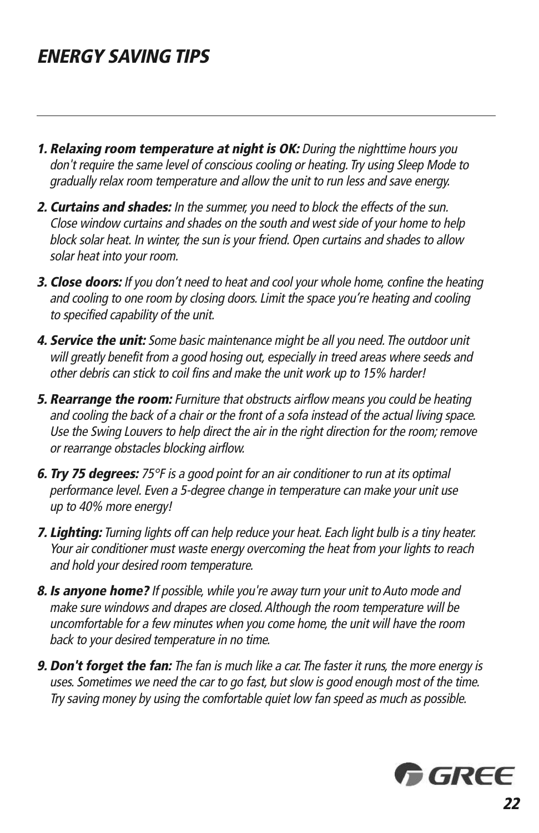## **ENERGY SAVING TIPS**

- **1. Relaxing room temperature at night is OK:** During the nighttime hours you don't require the same level of conscious cooling or heating. Try using Sleep Mode to gradually relax room temperature and allow the unit to run less and save energy.
- **2. Curtains and shades:** In the summer, you need to block the effects of the sun. Close window curtains and shades on the south and west side of your home to help block solar heat. In winter, the sun is your friend. Open curtains and shades to allow solar heat into your room.
- **3. Close doors:** If you don't need to heat and cool your whole home, confine the heating and cooling to one room by closing doors. Limit the space you're heating and cooling to specified capability of the unit.
- **4. Service the unit:** Some basic maintenance might be all you need. The outdoor unit will greatly benefit from <sup>a</sup> good hosing out, especially in treed areas where seeds and other debris can stick to coil fins and make the unit work up to 15% harder!
- **5. Rearrange the room:** Furniture that obstructs airflow means you could be heating and cooling the back of <sup>a</sup> chair or the front of <sup>a</sup> sofa instead of the actual living space. Use the Swing Louvers to help direct the air in the right direction for the room; remove or rearrange obstacles blocking airflow.
- **6. Try 75 degrees:** 75°F is <sup>a</sup> good point for an air conditioner to run at its optimal performance level. Even <sup>a</sup> 5-degree change in temperature can make your unit use up to 40% more energy!
- **7. Lighting:** Turning lights off can help reduce your heat. Each light bulb is <sup>a</sup> tiny heater. Your air conditioner must waste energy overcoming the heat from your lights to reach and hold your desired room temperature.
- **8. Is anyone home?** If possible, while you're away turn your unit to Auto mode and make sure windows and drapes are closed.Although the room temperature will be uncomfortable for <sup>a</sup> few minutes when you come home, the unit will have the room back to your desired temperature in no time.
- **9. Don't forget the fan:** The fan is much like <sup>a</sup> car. The faster it runs, the more energy is uses. Sometimes we need the car to go fast, but slow is good enough most of the time. Try saving money by using the comfortable quiet low fan speed as much as possible.